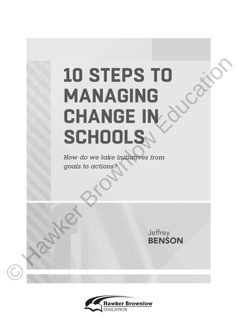## **10 STEPS TO MANAGING CHANGE IN SCHOOLS 10 STEPS TO**<br> **MANAGING**<br> **CHANGE IN SCHOOLS A**<br>
Flow do we take injugatives from<br>
Flow do we take injugatives from<br>
goals to actions?<br> **SCHOOLS A**<br>
BENSON

*How do we take initiatives from goals to actions?*



**Jeffrey BENSON**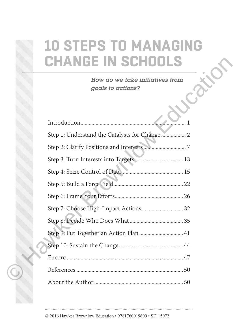## **10 STEPS TO MANAGING CHANGE IN SCHOOLS**

| ANGE IN SCHOOLS                                      |
|------------------------------------------------------|
| How do we take initiatives from<br>goals to actions? |
|                                                      |
| Step 1: Understand the Catalysts for Change  2       |
|                                                      |
|                                                      |
|                                                      |
|                                                      |
|                                                      |
| Step 7: Choose High-Impact Actions  32               |
|                                                      |
| Step 9: Put Together an Action Plan  41              |
|                                                      |
|                                                      |
|                                                      |
|                                                      |

© 2016 Hawker Brownlow Education • 9781760019600 • SF115072

©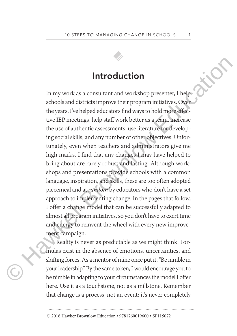

## **Introduction**

In my work as a consultant and workshop presenter, I help schools and districts improve their program initiatives. Over the years, I've helped educators find ways to hold more effective IEP meetings, help staff work better as a team, increase the use of authentic assessments, use literature for developing social skills, and any number of other objectives. Unfortunately, even when teachers and administrators give me high marks, I find that any changes I may have helped to bring about are rarely robust and lasting. Although workshops and presentations provide schools with a common language, inspiration, and skills, these are too often adopted piecemeal and at *random* by educators who don't have a set approach to implementing change. In the pages that follow, I offer a change model that can be successfully adapted to almost all program initiatives, so you don't have to exert time and energy to reinvent the wheel with every new improvement campaign. **In troduction**<br>
In my work as a consultant and workshop presenter, I help<br>
schools and districts improve their program initiatives. Over<br>
the years, I've helped educators find ways to hold more effec-<br>
tive IEP mectings,

Reality is never as predictable as we might think. Formulas exist in the absence of emotions, uncertainties, and shifting forces. As a mentor of mine once put it, "Be nimble in your leadership." By the same token, I would encourage you to be nimble in adapting to your circumstances the model I offer here. Use it as a touchstone, not as a millstone. Remember that change is a process, not an event; it's never completely

© 2016 Hawker Brownlow Education • 9781760019600 • SF115072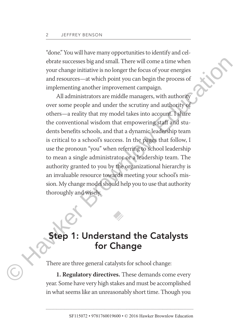"done." You will have many opportunities to identify and celebrate successes big and small. There will come a time when your change initiative is no longer the focus of your energies and resources—at which point you can begin the process of implementing another improvement campaign.

All administrators are middle managers, with authority over some people and under the scrutiny and authority of others—a reality that my model takes into account. I share the conventional wisdom that empowering staff and students benefits schools, and that a dynamic leadership team is critical to a school's success. In the pages that follow, I use the pronoun "you" when referring to school leadership to mean a single administrator or a leadership team. The authority granted to you by the organizational hierarchy is an invaluable resource towards meeting your school's mission. My change model should help you to use that authority thoroughly and wisely. ebrate successes big and small. There will come a time when<br>your change initiative is no longer the focus of your energies<br>and resources—at which point you can begin the process of<br>implementing another improvement campaign

## **Step 1: Understand the Catalysts for Change**

There are three general catalysts for school change:

**1. Regulatory directives.** These demands come every year. Some have very high stakes and must be accomplished in what seems like an unreasonably short time. Though you